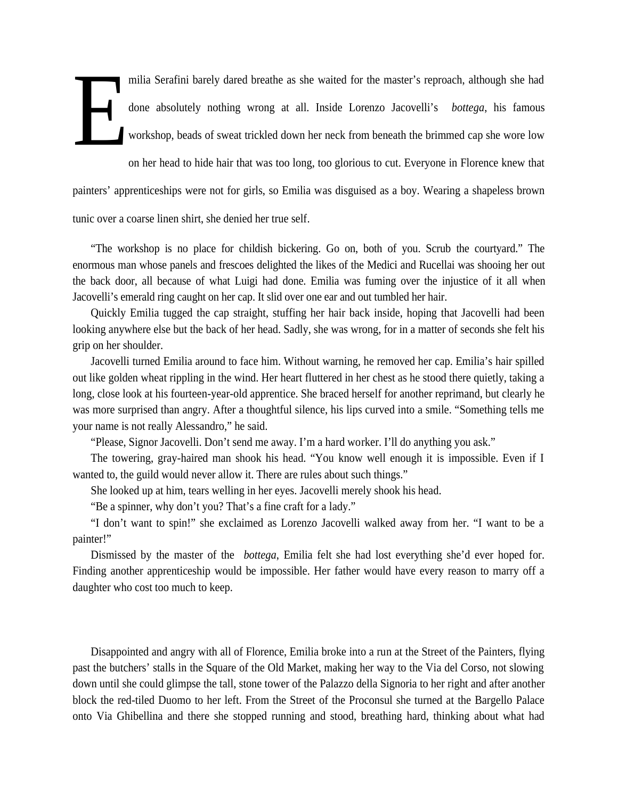milia Serafini barely dared breathe as she waited for the master's reproach, although she had done absolutely nothing wrong at all. Inside Lorenzo Jacovelli's *bottega*, his famous workshop, beads of sweat trickled down her neck from beneath the brimmed cap she wore low on her head to hide hair that was too long, too glorious to cut. Everyone in Florence knew that painters' apprenticeships were not for girls, so Emilia was disguised as a boy. Wearing a shapeless brown tunic over a coarse linen shirt, she denied her true self. E

"The workshop is no place for childish bickering. Go on, both of you. Scrub the courtyard." The enormous man whose panels and frescoes delighted the likes of the Medici and Rucellai was shooing her out the back door, all because of what Luigi had done. Emilia was fuming over the injustice of it all when Jacovelli's emerald ring caught on her cap. It slid over one ear and out tumbled her hair.

Quickly Emilia tugged the cap straight, stuffing her hair back inside, hoping that Jacovelli had been looking anywhere else but the back of her head. Sadly, she was wrong, for in a matter of seconds she felt his grip on her shoulder.

Jacovelli turned Emilia around to face him. Without warning, he removed her cap. Emilia's hair spilled out like golden wheat rippling in the wind. Her heart fluttered in her chest as he stood there quietly, taking a long, close look at his fourteen-year-old apprentice. She braced herself for another reprimand, but clearly he was more surprised than angry. After a thoughtful silence, his lips curved into a smile. "Something tells me your name is not really Alessandro," he said.

"Please, Signor Jacovelli. Don't send me away. I'm a hard worker. I'll do anything you ask."

The towering, gray-haired man shook his head. "You know well enough it is impossible. Even if I wanted to, the guild would never allow it. There are rules about such things."

She looked up at him, tears welling in her eyes. Jacovelli merely shook his head.

"Be a spinner, why don't you? That's a fine craft for a lady."

"I don't want to spin!" she exclaimed as Lorenzo Jacovelli walked away from her. "I want to be a painter!"

Dismissed by the master of the *bottega*, Emilia felt she had lost everything she'd ever hoped for. Finding another apprenticeship would be impossible. Her father would have every reason to marry off a daughter who cost too much to keep.

Disappointed and angry with all of Florence, Emilia broke into a run at the Street of the Painters, flying past the butchers' stalls in the Square of the Old Market, making her way to the Via del Corso, not slowing down until she could glimpse the tall, stone tower of the Palazzo della Signoria to her right and after another block the red-tiled Duomo to her left. From the Street of the Proconsul she turned at the Bargello Palace onto Via Ghibellina and there she stopped running and stood, breathing hard, thinking about what had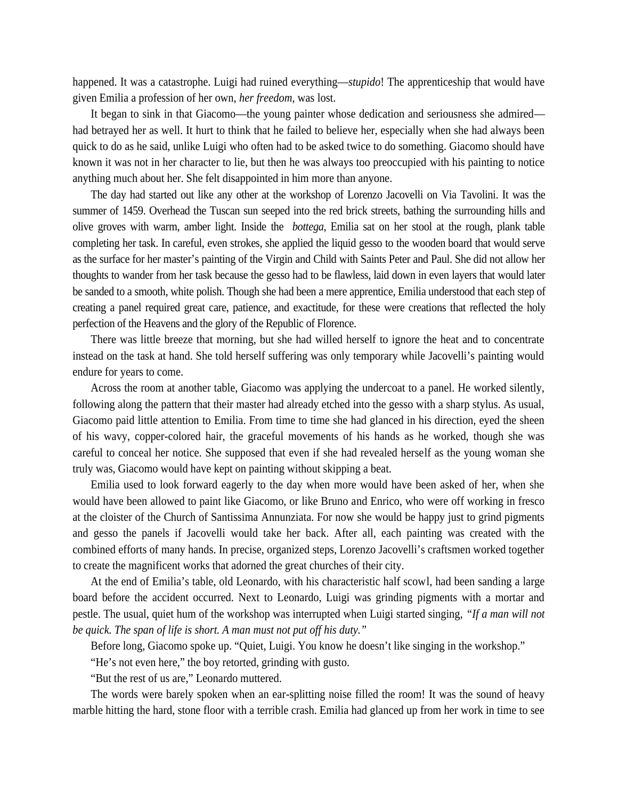happened. It was a catastrophe. Luigi had ruined everything—*stupido*! The apprenticeship that would have given Emilia a profession of her own, *her freedom*, was lost.

It began to sink in that Giacomo—the young painter whose dedication and seriousness she admired had betrayed her as well. It hurt to think that he failed to believe her, especially when she had always been quick to do as he said, unlike Luigi who often had to be asked twice to do something. Giacomo should have known it was not in her character to lie, but then he was always too preoccupied with his painting to notice anything much about her. She felt disappointed in him more than anyone.

The day had started out like any other at the workshop of Lorenzo Jacovelli on Via Tavolini. It was the summer of 1459. Overhead the Tuscan sun seeped into the red brick streets, bathing the surrounding hills and olive groves with warm, amber light. Inside the *bottega*, Emilia sat on her stool at the rough, plank table completing her task. In careful, even strokes, she applied the liquid gesso to the wooden board that would serve as the surface for her master's painting of the Virgin and Child with Saints Peter and Paul. She did not allow her thoughts to wander from her task because the gesso had to be flawless, laid down in even layers that would later be sanded to a smooth, white polish. Though she had been a mere apprentice, Emilia understood that each step of creating a panel required great care, patience, and exactitude, for these were creations that reflected the holy perfection of the Heavens and the glory of the Republic of Florence.

There was little breeze that morning, but she had willed herself to ignore the heat and to concentrate instead on the task at hand. She told herself suffering was only temporary while Jacovelli's painting would endure for years to come.

Across the room at another table, Giacomo was applying the undercoat to a panel. He worked silently, following along the pattern that their master had already etched into the gesso with a sharp stylus. As usual, Giacomo paid little attention to Emilia. From time to time she had glanced in his direction, eyed the sheen of his wavy, copper-colored hair, the graceful movements of his hands as he worked, though she was careful to conceal her notice. She supposed that even if she had revealed herself as the young woman she truly was, Giacomo would have kept on painting without skipping a beat.

Emilia used to look forward eagerly to the day when more would have been asked of her, when she would have been allowed to paint like Giacomo, or like Bruno and Enrico, who were off working in fresco at the cloister of the Church of Santissima Annunziata. For now she would be happy just to grind pigments and gesso the panels if Jacovelli would take her back. After all, each painting was created with the combined efforts of many hands. In precise, organized steps, Lorenzo Jacovelli's craftsmen worked together to create the magnificent works that adorned the great churches of their city.

At the end of Emilia's table, old Leonardo, with his characteristic half scowl, had been sanding a large board before the accident occurred. Next to Leonardo, Luigi was grinding pigments with a mortar and pestle. The usual, quiet hum of the workshop was interrupted when Luigi started singing, *"If a man will not be quick. The span of life is short. A man must not put off his duty."*

Before long, Giacomo spoke up. "Quiet, Luigi. You know he doesn't like singing in the workshop."

"He's not even here," the boy retorted, grinding with gusto.

"But the rest of us are," Leonardo muttered.

The words were barely spoken when an ear-splitting noise filled the room! It was the sound of heavy marble hitting the hard, stone floor with a terrible crash. Emilia had glanced up from her work in time to see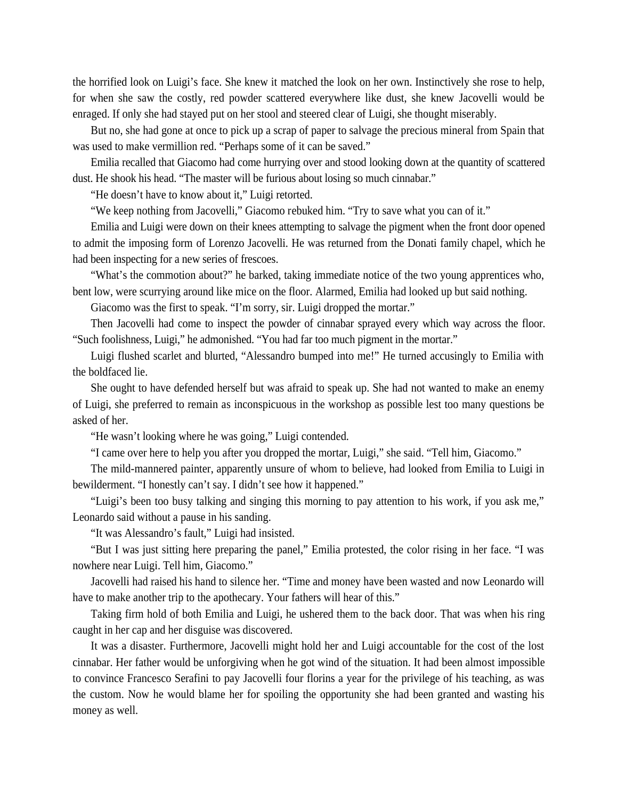the horrified look on Luigi's face. She knew it matched the look on her own. Instinctively she rose to help, for when she saw the costly, red powder scattered everywhere like dust, she knew Jacovelli would be enraged. If only she had stayed put on her stool and steered clear of Luigi, she thought miserably.

But no, she had gone at once to pick up a scrap of paper to salvage the precious mineral from Spain that was used to make vermillion red. "Perhaps some of it can be saved."

Emilia recalled that Giacomo had come hurrying over and stood looking down at the quantity of scattered dust. He shook his head. "The master will be furious about losing so much cinnabar."

"He doesn't have to know about it," Luigi retorted.

"We keep nothing from Jacovelli," Giacomo rebuked him. "Try to save what you can of it."

Emilia and Luigi were down on their knees attempting to salvage the pigment when the front door opened to admit the imposing form of Lorenzo Jacovelli. He was returned from the Donati family chapel, which he had been inspecting for a new series of frescoes.

"What's the commotion about?" he barked, taking immediate notice of the two young apprentices who, bent low, were scurrying around like mice on the floor. Alarmed, Emilia had looked up but said nothing.

Giacomo was the first to speak. "I'm sorry, sir. Luigi dropped the mortar."

Then Jacovelli had come to inspect the powder of cinnabar sprayed every which way across the floor. "Such foolishness, Luigi," he admonished. "You had far too much pigment in the mortar."

Luigi flushed scarlet and blurted, "Alessandro bumped into me!" He turned accusingly to Emilia with the boldfaced lie.

She ought to have defended herself but was afraid to speak up. She had not wanted to make an enemy of Luigi, she preferred to remain as inconspicuous in the workshop as possible lest too many questions be asked of her.

"He wasn't looking where he was going," Luigi contended.

"I came over here to help you after you dropped the mortar, Luigi," she said. "Tell him, Giacomo."

The mild-mannered painter, apparently unsure of whom to believe, had looked from Emilia to Luigi in bewilderment. "I honestly can't say. I didn't see how it happened."

"Luigi's been too busy talking and singing this morning to pay attention to his work, if you ask me," Leonardo said without a pause in his sanding.

"It was Alessandro's fault," Luigi had insisted.

"But I was just sitting here preparing the panel," Emilia protested, the color rising in her face. "I was nowhere near Luigi. Tell him, Giacomo."

Jacovelli had raised his hand to silence her. "Time and money have been wasted and now Leonardo will have to make another trip to the apothecary. Your fathers will hear of this."

Taking firm hold of both Emilia and Luigi, he ushered them to the back door. That was when his ring caught in her cap and her disguise was discovered.

It was a disaster. Furthermore, Jacovelli might hold her and Luigi accountable for the cost of the lost cinnabar. Her father would be unforgiving when he got wind of the situation. It had been almost impossible to convince Francesco Serafini to pay Jacovelli four florins a year for the privilege of his teaching, as was the custom. Now he would blame her for spoiling the opportunity she had been granted and wasting his money as well.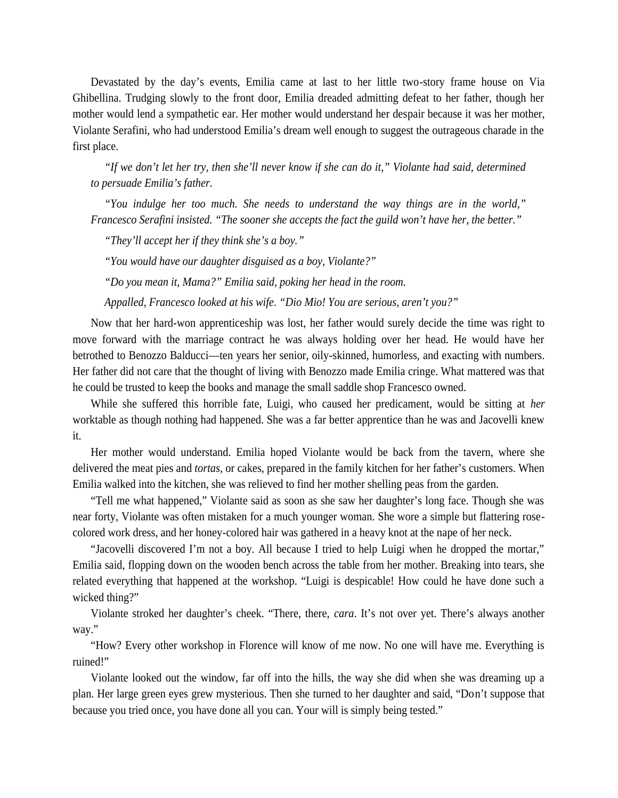Devastated by the day's events, Emilia came at last to her little two-story frame house on Via Ghibellina. Trudging slowly to the front door, Emilia dreaded admitting defeat to her father, though her mother would lend a sympathetic ear. Her mother would understand her despair because it was her mother, Violante Serafini, who had understood Emilia's dream well enough to suggest the outrageous charade in the first place.

*"If we don't let her try, then she'll never know if she can do it," Violante had said, determined to persuade Emilia's father.*

*"You indulge her too much. She needs to understand the way things are in the world," Francesco Serafini insisted. "The sooner she accepts the fact the guild won't have her, the better."*

*"They'll accept her if they think she's a boy."*

*"You would have our daughter disguised as a boy, Violante?"*

*"Do you mean it, Mama?" Emilia said, poking her head in the room.*

*Appalled, Francesco looked at his wife. "Dio Mio! You are serious, aren't you?"*

Now that her hard-won apprenticeship was lost, her father would surely decide the time was right to move forward with the marriage contract he was always holding over her head. He would have her betrothed to Benozzo Balducci—ten years her senior, oily-skinned, humorless, and exacting with numbers. Her father did not care that the thought of living with Benozzo made Emilia cringe. What mattered was that he could be trusted to keep the books and manage the small saddle shop Francesco owned.

While she suffered this horrible fate, Luigi, who caused her predicament, would be sitting at *her* worktable as though nothing had happened. She was a far better apprentice than he was and Jacovelli knew it.

Her mother would understand. Emilia hoped Violante would be back from the tavern, where she delivered the meat pies and *tortas*, or cakes, prepared in the family kitchen for her father's customers. When Emilia walked into the kitchen, she was relieved to find her mother shelling peas from the garden.

"Tell me what happened," Violante said as soon as she saw her daughter's long face. Though she was near forty, Violante was often mistaken for a much younger woman. She wore a simple but flattering rose colored work dress, and her honey-colored hair was gathered in a heavy knot at the nape of her neck.

"Jacovelli discovered I'm not a boy. All because I tried to help Luigi when he dropped the mortar," Emilia said, flopping down on the wooden bench across the table from her mother. Breaking into tears, she related everything that happened at the workshop. "Luigi is despicable! How could he have done such a wicked thing?"

Violante stroked her daughter's cheek. "There, there, *cara*. It's not over yet. There's always another way."

"How? Every other workshop in Florence will know of me now. No one will have me. Everything is ruined!"

Violante looked out the window, far off into the hills, the way she did when she was dreaming up a plan. Her large green eyes grew mysterious. Then she turned to her daughter and said, "Don't suppose that because you tried once, you have done all you can. Your will is simply being tested."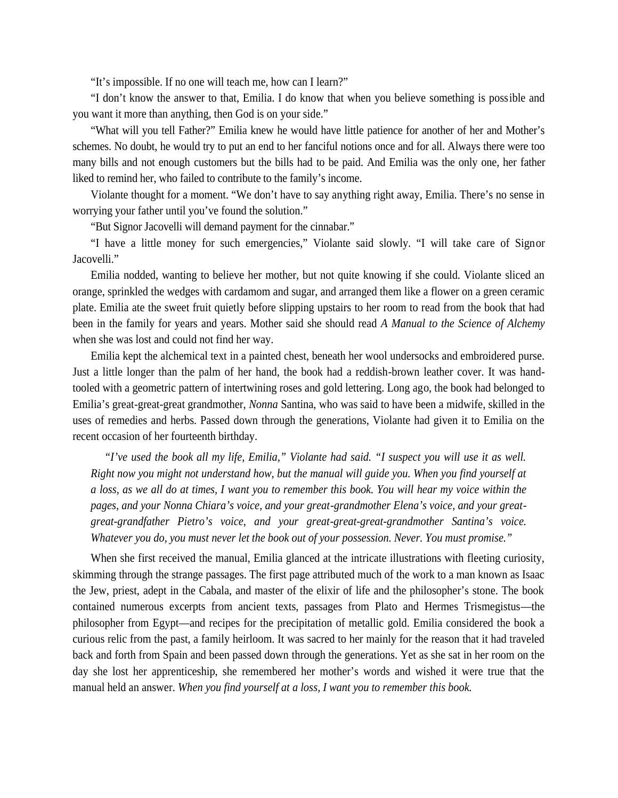"It's impossible. If no one will teach me, how can I learn?"

"I don't know the answer to that, Emilia. I do know that when you believe something is possible and you want it more than anything, then God is on your side."

"What will you tell Father?" Emilia knew he would have little patience for another of her and Mother's schemes. No doubt, he would try to put an end to her fanciful notions once and for all. Always there were too many bills and not enough customers but the bills had to be paid. And Emilia was the only one, her father liked to remind her, who failed to contribute to the family's income.

Violante thought for a moment. "We don't have to say anything right away, Emilia. There's no sense in worrying your father until you've found the solution."

"But Signor Jacovelli will demand payment for the cinnabar."

"I have a little money for such emergencies," Violante said slowly. "I will take care of Signor Jacovelli."

Emilia nodded, wanting to believe her mother, but not quite knowing if she could. Violante sliced an orange, sprinkled the wedges with cardamom and sugar, and arranged them like a flower on a green ceramic plate. Emilia ate the sweet fruit quietly before slipping upstairs to her room to read from the book that had been in the family for years and years. Mother said she should read *A Manual to the Science of Alchemy* when she was lost and could not find her way.

Emilia kept the alchemical text in a painted chest, beneath her wool undersocks and embroidered purse. Just a little longer than the palm of her hand, the book had a reddish-brown leather cover. It was handtooled with a geometric pattern of intertwining roses and gold lettering. Long ago, the book had belonged to Emilia's great-great-great grandmother, *Nonna* Santina, who was said to have been a midwife, skilled in the uses of remedies and herbs. Passed down through the generations, Violante had given it to Emilia on the recent occasion of her fourteenth birthday.

*"I've used the book all my life, Emilia," Violante had said. "I suspect you will use it as well. Right now you might not understand how, but the manual will guide you. When you find yourself at a loss, as we all do at times, I want you to remember this book. You will hear my voice within the pages, and your Nonna Chiara's voice, and your great-grandmother Elena's voice, and your great great-grandfather Pietro's voice, and your great-great-great-grandmother Santina's voice. Whatever you do, you must never let the book out of your possession. Never. You must promise."*

When she first received the manual, Emilia glanced at the intricate illustrations with fleeting curiosity, skimming through the strange passages. The first page attributed much of the work to a man known as Isaac the Jew, priest, adept in the Cabala, and master of the elixir of life and the philosopher's stone. The book contained numerous excerpts from ancient texts, passages from Plato and Hermes Trismegistus—the philosopher from Egypt—and recipes for the precipitation of metallic gold. Emilia considered the book a curious relic from the past, a family heirloom. It was sacred to her mainly for the reason that it had traveled back and forth from Spain and been passed down through the generations. Yet as she sat in her room on the day she lost her apprenticeship, she remembered her mother's words and wished it were true that the manual held an answer. *When you find yourself at a loss, I want you to remember this book.*